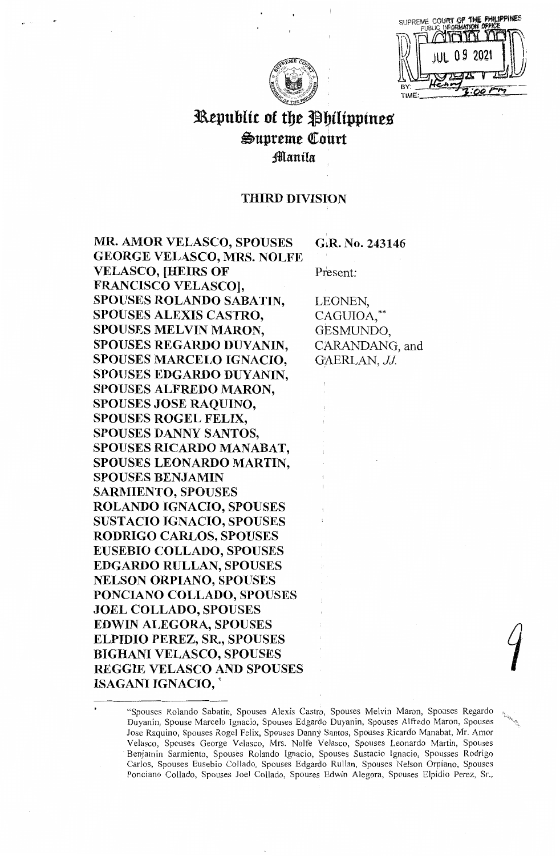| SUPREME COURT<br>PUBLIC INFOR | FS |
|-------------------------------|----|
|                               |    |
| 20<br>O 9                     |    |
|                               |    |
| в                             |    |
| TIME:                         |    |

# 3aepublit of tbe JI bilippines Supreme Court Jlflanila

## THIRD DIVISION

**MR. AMOR VELASCO, SPOUSES GEORGE VELASCO, MRS. NOLFE VELASCO, [HEIRS OF FRANCISCO VELASCO], SPOUSES ROLANDO SABATIN, SPOUSES ALEXIS CASTRO, SPOUSES MELVIN MARON, SPOUSES REGARDO DUYANIN, SPOUSES MARCELO IGNACIO, SPOUSES EDGARDO DUYANIN, SPOUSES ALFREDO MARON, SPOUSES JOSE RAQUINO, SPOUSES ROGEL FELIX, SPOUSES DANNY SANTOS, SPOUSES RICARDO MANABAT, SPOUSES LEONARDO MARTIN, SPOUSES BENJAMIN SARMIENTO, SPOUSES ROLANDO IGNACIO, SPOUSES SUSTACIO IGNACIO, SPOUSES RODRIGO CARLOS, SPOUSES EUSEBIO COLLADO, SPOUSES EDGARDO RULLAN, SPOUSES NELSON ORPIANO, SPOUSES PONCIANO COLLADO, SPOUSES JOEL COLLADO, SPOUSES EDWIN ALEGORA, SPOUSES ELPIDIO PEREZ, SR., SPOUSES BIGHANI VELASCO, SPOUSES REGGIE VELASCO AND SPOUSES ISAGANI IGNACIO,** \*

**G~R.** No. **243146** 

Present:

LEONEN, CAGUIOA,\*\*<br>GESMUNDO, CARANDANG, and GAERLAN, JJ.

<sup>&</sup>quot;Spouses Rolando Sabatin, Spouses Alexis Castro, Spouses Melvin Maron, Spouses Regardo Duyanin, Spouse Marcelo Ignacio, Spouses Edgardo Duyanin, Spouses Alfredo Maron, Spouses Jose Raquino, Spouses Rogel Felix, Spouses Danny Santos, Spouses Ricardo Manabat, Mr. Amor Velasco, Spouses George Velasco, Mrs. Nolfe Velasco, Spouses Leonardo Martin, Spouses Benjamin Sarmiento, Spouses Rolando Ignacio, Spouses Sustacio Ignacio, Spousses Rodrigo Carlos, Spouses Eusebio Collado, Spouses Edgardo Rullan, Spouses Nelson Orpiano, Spouses Ponciano Collado, Spouses Joel Collado, Spouses Edwin Alegora, Spouses Elpidio Perez, Sr.,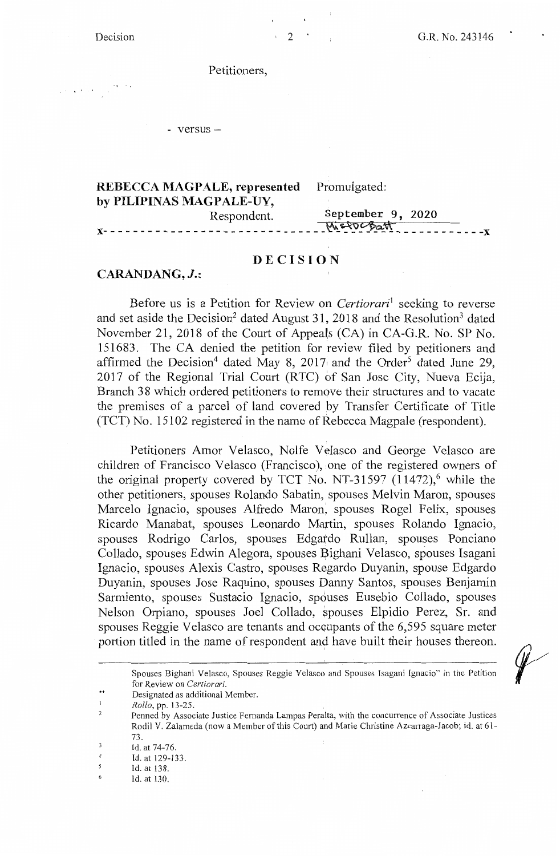Decision  $2 \t 2 \t 3146$ 

 $\frac{1}{2} \left( \frac{1}{2} \right) \frac{1}{2} \left( \frac{1}{2} \right) \frac{1}{2} \left( \frac{1}{2} \right)$ 

Petitioners,

- versus -

| <b>REBECCA MAGPALE, represented</b> Promulgated: |
|--------------------------------------------------|
|                                                  |
| September 9, 2020                                |
|                                                  |
|                                                  |

### **DECISION**

#### **CARANDANG, J.:**

Before us is a Petition for Review on *Certiorari*<sup>1</sup> seeking to reverse and set aside the Decision<sup>2</sup> dated August 31, 2018 and the Resolution<sup>3</sup> dated November 21, 2018 of the Court of Appeals (CA) in CA-G.R. No. SP No. 151683. The CA denied the petition for review filed by petitioners and affirmed the Decision<sup>4</sup> dated May 8, 2017 and the Order<sup>5</sup> dated June 29, 2017 of the Regional Trial Court (RTC) of San Jose City, Nueva Ecija, Branch 38 which ordered petitioners to remove their structures and to vacate the premises of a parcel of land covered by Transfer Certificate of Title (TCT) No.  $15102$  registered in the name of Rebecca Magpale (respondent).

Petitioners Amor Velasco, Nolfe Velasco and George Velasco are children of Francisco Velasco (Francisco), one of the registered owners of the original property covered by TCT No. NT-31597  $(11472)$ , while the other petitioners, spouses Rolando Sabatin, spouses Melvin Maron, spouses Marcelo Ignacio, spouses Alfredo Maron, spouses Rogel Felix, spouses Ricardo Manabat, spouses Leonardo Martin, spouses Rolando Ignacio, spouses Rodrigo Carlos, spouses Edgatdo Rullan, spouses Ponciano Collado, spouses Edwin Alegora, spouses Bighani Velasco, spouses Isagani Ignacio, spouses Alexis Castro, spouses Regardo Duyanin, spouse Edgardo Duyanin, spouses Jose Raquino, spouses Danny Santos, spouses Benjamin Sarmiento, spouses Sustacio Ignacio, spouses Eusebio Collado, spouses Nelson Orpiano, spouses Joel Collado, spouses Elpidio Perez, Sr. and spouses Reggie Velasco are tenants and occupants of the 6,595 square meter portion titled in the name of respondent and have built their houses thereon.

\*\* Designated as additional Member.

Spouses Bighani Velasco, Spouses Reggie Velasco and Spouses Isagani Ignacio" in the Petition for Review on *Certiorari.* 

 $\overline{\phantom{a}}$ *Rollo,* pp. 13-25.

 $\overline{\phantom{a}}$ Penned by Associate Justice Fernanda Lampas Peralta, with the concurrence of Associate Justices Rodil V. Zalameda (now a Member of this Court) and Marie Christine Azcarraga-Jacob; id. at  $61$ 73.

 $\overline{\phantom{a}}$ Id. at 74-76.

<sup>4</sup>  Id. at 129-133.

*<sup>5</sup>*  Id. at 138.

<sup>6</sup>  Id. at 130.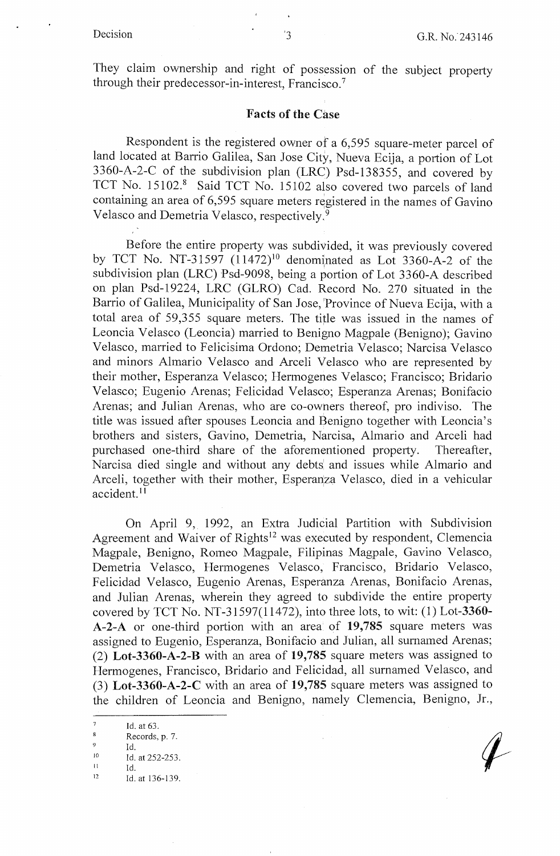They claim ownership and right of possession of the subject property through their predecessor-in-interest, Francisco.<sup>7</sup>

#### Facts of the Case

Respondent is the registered owner of a 6,595 square-meter parcel of land located at Barrio Galilea, San Jose City, Nueva Ecija, a portion of Lot 3360-A-2-C of the subdivision plan (LRC) Psd-138355, and covered by TCT No. 15102.8 Said TCT No. 15102 also covered two parcels of land containing an area of 6,595 square meters registered in the names of Gavino Velasco and Demetria Velasco, respectively. <sup>9</sup>

Before the entire property was subdivided, it was previously covered by TCT No. NT-31597  $(11472)^{10}$  denominated as Lot 3360-A-2 of the subdivision plan (LRC) Psd-9098, being a portion of Lot 3360-A described on plan Psd-19224, LRC (GLRO) Cad. Record No. 270 situated in the Barrio of Galilea, Municipality of San Jose, 'Province of Nueva Ecija, with a total area of 59,355 square meters. The title was issued in the names of Leoncia Velasco (Leoncia) married to Benigno Magpale (Benigno); Gavina Velasco, married to Felicisima Ordono; Demetria Velasco; Narcisa Velasco and minors Almario Velasco and Arceli Velasco who are represented by their mother, Esperanza Velasco; Hermogenes Velasco; Francisco; Bridario Velasco; Eugenio Arenas; Felicidad Velasco; Esperanza Arenas; Bonifacio Arenas; and Julian Arenas, who are co-owners thereof, pro indiviso. The title was issued after spouses Leoncia and Benigno together with Leoncia's brothers and sisters, Gavina, Demetria, Narcisa, Almario and Arceli had purchased one-third share of the aforementioned property. Thereafter, Narcisa died single and without any debts' and issues while Almario and Arceli, together with their mother, Esperanza Velasco, died in a vehicular accident. <sup>11</sup>

On April 9, 1992, an Extra Judicial Partition with Subdivision Agreement and Waiver of Rights<sup>12</sup> was executed by respondent, Clemencia Magpale, Benigno, Romeo Magpale, Filipinas Magpale, Gavina Velasco, Demetria Velasco, Hermogenes Velasco, Francisco, Bridario Velasco, Felicidad Velasco, Eugenio Arenas, Esperanza Arenas, Bonifacio Arenas, and Julian Arenas, wherein they agreed to subdivide the entire property covered by TCT No. NT-31597(11472), into three lots, to wit:  $(1)$  Lot-3360-**A-2-A** or one-third portion with an area of **19,785** square meters was assigned to Eugenio, Esperanza, Bonifacio and Julian, all surnamed Arenas; (2) **Lot-3360-A-2-B** with an area of **19,785** square meters was assigned to Hermogenes, Francisco, Bridario and Felicidad, all surnamed Velasco, and (3) **Lot-3360-A-2-C** with an area of **19,785** square meters was assigned to the children of Leoncia and Benigno, namely Clemencia, Benigno, Jr.,

Id. at 63.

<sup>8</sup> Records, p. 7.

<sup>9</sup> Id.<br>
10 Id. at 252-253.<br>
11 Id.<br>
12 Id. at 136, 139

<sup>12</sup> Id. at 136-139.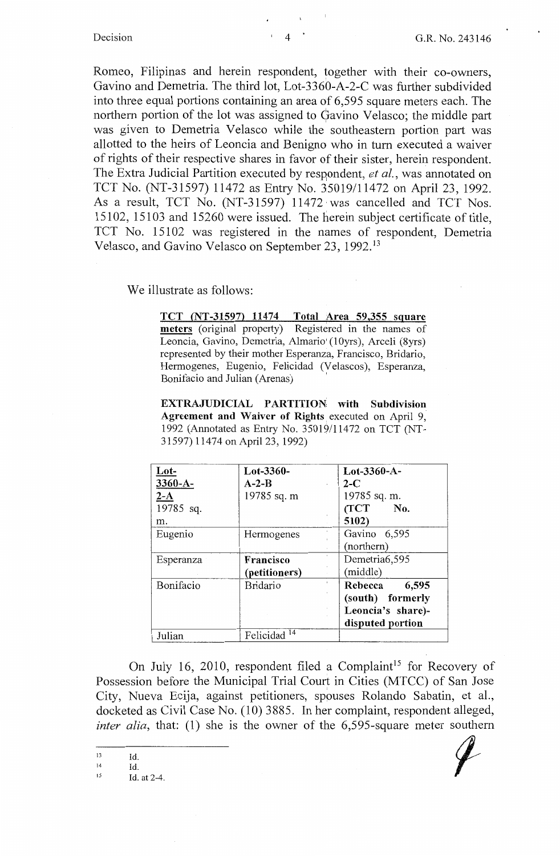Romeo, Filipinas and herein respondent, together with their co-owners, Gavino and Demetria. The third lot, Lot-3360-A-2-C was further subdivided into three equal portions containing an area of 6,595 square meters each. The northern portion of the lot was assigned to Gavino Velasco; the middle part was given to Demetria Velasco while the southeastern portion part was allotted to the heirs of Leoncia and Benigno who in tum executed a waiver of rights of their respective shares in favor of their sister, herein respondent. The Extra Judicial Partition executed by respondent, *et al.*, was annotated on TCT No. (NT-31597) 11472 as Entry No. 35019/11472 on April 23, 1992. As a result, TCT No. (NT-31597) 11472 was cancelled and TCT Nos. 15102, 15103 and 15260 were issued. The herein subject certificate of title, TCT No. 15102 was registered in the names of respondent, Demetria Velasco, and Gavino Velasco on September 23, 1992. <sup>13</sup>

We illustrate as follows:

**TCT {NT-31597) 11474 Total Area 59,355 square meters** (original property) Registered in the names of Leoncia, Gavina, Demetria, Almario' (lOyrs), Arceli (8yrs) represented by their mother Esperanza, Francisco, Bridario, Hermogenes, Eugenio, Felicidad (Velascos), Esperanza, Bonifacio and Julian (Arenas)

**EXTRAJUDICIAL PARTITION with Subdivision Agreement and Waiver of Rights** executed on April 9, 1992 (Annotated as Entry No. 35019/11472 on TCT (NT-31597) 11474 on April 23, 1992)

| $_{\text{Lot-}}$<br>$3360 - A -$<br>$2-A$<br>19785 sq.<br>m. | $Lot-3360-$<br>$A - 2 - B$<br>19785 sq. m | Lot-3360-A-<br>$2-C$<br>19785 sq. m.<br>(TCT<br>No.<br>5102)                  |
|--------------------------------------------------------------|-------------------------------------------|-------------------------------------------------------------------------------|
| Eugenio                                                      | Hermogenes                                | Gavino 6,595<br>(northern)                                                    |
| Esperanza                                                    | Francisco<br>(petitioners)                | Demetria6,595<br>(middle)                                                     |
| Bonifacio                                                    | <b>Bridario</b>                           | Rebecca<br>6,595<br>(south) formerly<br>Leoncia's share)-<br>disputed portion |
| Julian                                                       | Felicidad <sup>14</sup>                   |                                                                               |

On July 16, 2010, respondent filed a Complaint<sup>15</sup> for Recovery of Possession before the Municipal Trial Court in Cities (MTCC) of San Jose City, Nueva Ecija, against petitioners, spouses Rolando Sabatin, et al., docketed as Civil Case No. (10) 3885. In her complaint, respondent alleged, *inter alia, that: (1)* she is the owner of the 6.595-square meter southern

13 Id.

14 15 Id.

Id. at 2-4.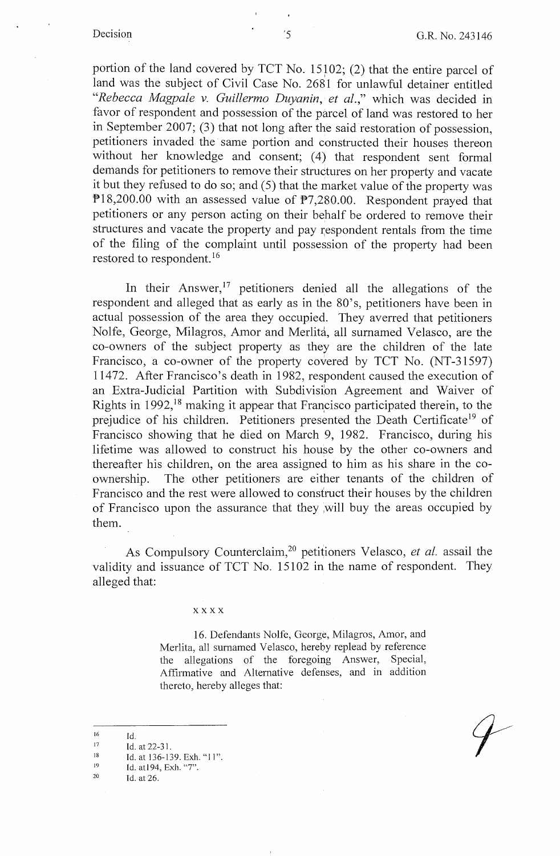portion of the land covered by TCT No.  $15102$ ; (2) that the entire parcel of land was the subject of Civil Case No. 2681 for unlawful detainer entitled "Rebecca Magpale v. Guillermo Duyanin, et al.," which was decided in favor of respondent and possession of the parcel of land was restored to her in September 2007; (3) that not long after the said restoration of possession, petitioners invaded the same portion and constructed their houses thereon without her knowledge and consent; (4) that respondent sent formal demands for petitioners to remove their structures on her property and vacate it but they refused to do so; and (5) that the market value of the property was Pl8,200.00 with an assessed value of P7,280.00. Respondent prayed that petitioners or any person acting on their behalf be ordered to remove their structures and vacate the property and pay \espondent rentals from the time of the filing of the complaint until possession of the property had been restored to respondent. <sup>16</sup>

In their Answer,  $17$  petitioners denied all the allegations of the respondent and alleged that as early as in the 80's, petitioners have been in actual possession of the area they occupied. They averred that petitioners Nolfe, George, Milagros, Amor and Merlita, all surnamed Velasco, are the co-owners of the subject property as they are the children of the late Francisco, a co-owner of the property covered by TCT No. (NT-31597) 11472. After Francisco's death in 1982, respondent caused the execution of an Extra-Judicial Partition with Subdivision Agreement and Waiver of Rights in 1992,<sup>18</sup> making it appear that Francisco participated therein, to the prejudice of his children. Petitioners presented the Death Certificate<sup>19</sup> of Francisco showing that he died on March 9, 1982. Francisco, during his lifetime was allowed to construct his house by the other co-owners and thereafter his children, on the area assigned to him as his share in the coownership. The other petitioners are either tenants of the children of Francisco and the rest were allowed to construct their houses by the children of Francisco upon the assurance that they ,will buy the areas occupied by them.

As Compulsory Counterclaim,20 petitioners Velasco, *et al.* assail the validity and issuance of TCT No. 15102 in the name of respondent. They alleged that:

**xxxx** 

16. Defendants Nolfe, George, Milagros, Amor, and Merlita, all surnamed Velasco, hereby replead by reference the allegations of the foregoing Answer, Special, Affirmative and Alternative defenses, and in addition thereto, hereby alleges that:

17 Id. at 22-31.

<sup>16</sup>  Id.

<sup>18</sup>  Id. at 136-139. Exh. "11".

<sup>19</sup>  Id. atl 94, Exh. "7".

<sup>20</sup>  Id. at 26.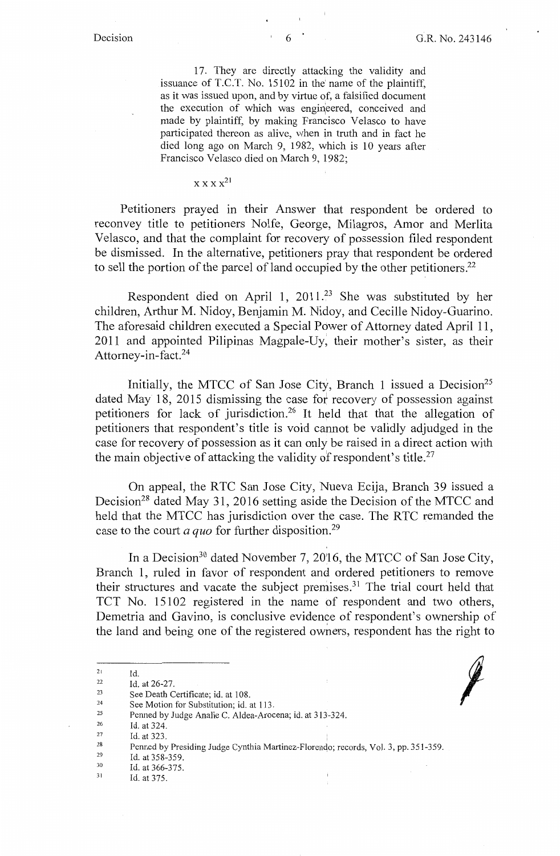*j* 

17. They are directly attacking the validity and issuance of T.C.T. No. 15102 in the' name of the plaintiff, as it was issued upon, and by virtue of, a falsified document the execution of which was engineered, conceived and made by plaintiff, by making Francisco Velasco to have participated thereon as alive, when in truth and in fact he died long ago on March 9, 1982, which is 10 years after Francisco Velasco died on March 9, 1982;

### **XX X x<sup>21</sup>**

Petitioners prayed in their Answer that respondent be ordered to reconvey title to petitioners Nolfe, George, Milagros, Amor and Merlita Velasco, and that the complaint for recovery of possession filed respondent be dismissed. In the alternative, petitioners pray that respondent be ordered to sell the portion of the parcel of land occupied by the other petitioners.<sup>22</sup>

Respondent died on April 1,  $2011.^{23}$  She was substituted by her children, Arthur M. Nidoy, Benjamin M. Nidoy, and Cecille Nidoy-Guarino. The aforesaid children executed a Special Power of Attorney dated April 11, 2011 and appointed Pilipinas Magpale-Uy, their mother's sister, as their Attomey-in-fact.24

Initially, the MTCC of San Jose City, Branch 1 issued a Decision<sup>25</sup> dated May 18, 2015 dismissing the case fot recovery of possession against petitioners for lack of jurisdiction.<sup>26</sup> It held that that the allegation of petitioners that respondent's title is void cannot be validly adjudged in the case for recovery of possession as it can only be raised in a direct action with the main objective of attacking the validity of respondent's title.<sup>27</sup>

On appeal, the RTC San Jose City, Nueva Ecija, Branch 39 issued a Decision<sup>28</sup> dated May 31, 2016 setting aside the Decision of the MTCC and held that the MTCC has jurisdiction over the case. The RTC remanded the case to the court *a quo* for further disposition.<sup>29</sup>

In a Decision<sup>30</sup> dated November 7, 2016, the MTCC of San Jose City, Branch 1, ruled in favor of respondent and ordered petitioners to remove their structures and vacate the subject premises.<sup>31</sup> The trial court held that TCT No. 15102 registered in the name of respondent and two others, Demetria and Gavino, is conclusive evidence of respondent's ownership of the land and being one of the registered owners, respondent has the right to

- 29 Id. at 358-359.
- 30 Id. at 366-375.
- 31 Id. at 375.

<sup>21</sup>  22 Id.

<sup>23</sup>  Id. at 26-27.

<sup>24</sup>  See Death Certificate; id. at 108. See Motion for Substitution; id. at 113.

<sup>25</sup> 

Penned by Judge Analie C. Aldea-Arocena; id. at 313-324.

<sup>26</sup>  Id. at 324.

<sup>27</sup>  28 Id. at 323.

Penned by Presiding Judge Cynthia Martinez-Florendo; records, Vol. 3, pp. 351-359.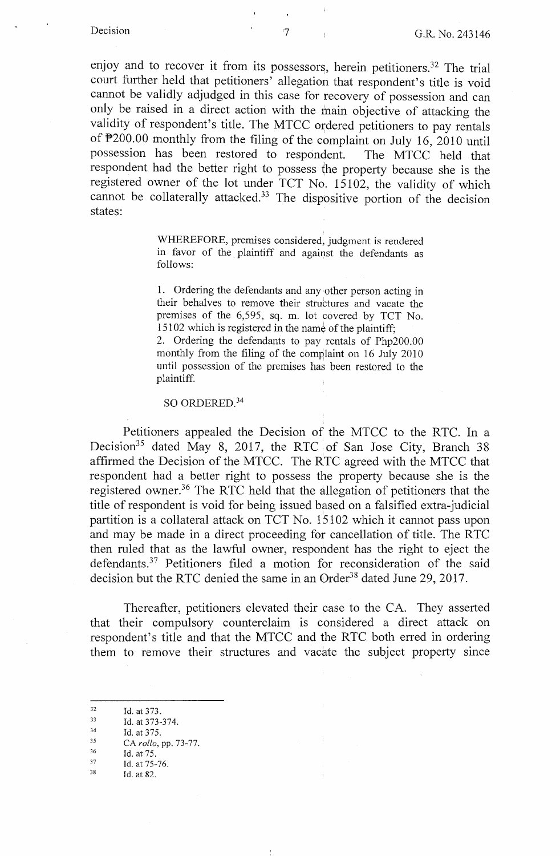enjoy and to recover it from its possessors, herein petitioners.<sup>32</sup> The trial court further held that petitioners' allegation that respondent's title is void cannot be validly adjudged in this case for recovery of possession and can only be raised in a direct action with the main objective of attacking the validity of respondent's title. The MTCC ordered petitioners to pay rentals of P200.00 monthly from the filing of the complaint on July 16, 2010 until possession has been restored to respondent. The MTCC held that respondent had the better right to possess the property because she is the registered owner of the lot under TCT No. 15102, the validity of which cannot be collaterally attacked.<sup>33</sup> The dispositive portion of the decision states:

> WHEREFORE, premises considered, judgment is rendered in favor of the plaintiff and against the defendants as follows:

> 1. Ordering the defendants and any other person acting in their behalves to remove their structures and vacate the premises of the 6,595, sq. m. lot covered by TCT No. 15102 which is registered in the name of the plaintiff; 2. Ordering the defendants to pay rentals of Php200.00

monthly from the filing of the complaint on 16 July 2010 until possession of the premises has been restored to the plaintiff.

### SO ORDERED.<sup>34</sup>

Petitioners appealed the Decision of the MTCC to the RTC. In a Decision<sup>35</sup> dated May 8, 2017, the RTC of San Jose City, Branch 38 affirmed the Decision of the MTCC. The RTC agreed with the MTCC that respondent had a better right to possess the property because she is the registered owner.<sup>36</sup> The RTC held that the allegation of petitioners that the title of respondent is void for being issued based on a falsified extra-judicial partition is a collateral attack on TCT No.  $15102$  which it cannot pass upon and may be made in a direct proceeding for cancellation of title. The RTC then ruled that as the lawful owner, respondent has the right to eject the defendants. 37 Petitioners filed a motion for reconsideration of the said decision but the RTC denied the same in an Order<sup>38</sup> dated June 29, 2017.

Thereafter, petitioners elevated their case to the CA. They asserted that their compulsory counterclaim is considered a direct attack on respondent's title and that the MTCC and the RTC both erred in ordering them to remove their structures and vacate the subject property since

<sup>32</sup> Id. at 373.<br>
33 Id. at 373-374.<br>
34 Id. at 375.<br>
25 CA *rollo*, pp. 73-77.<br>
36 Id. at 75.<br>
37 Id. at 75-76.<br>
38 Id. at 82.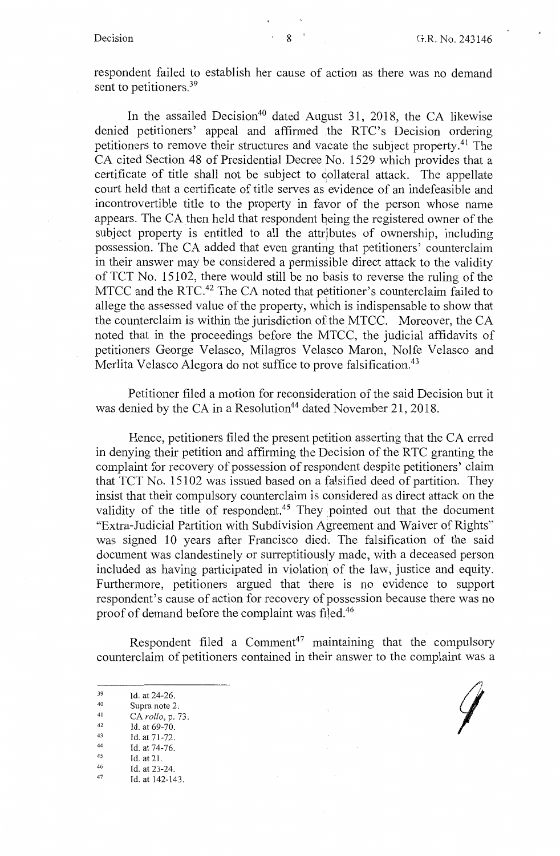respondent failed to establish her cause of action as there was no demand sent to petitioners.<sup>39</sup>

In the assailed Decision<sup>40</sup> dated August 31, 2018, the CA likewise denied petitioners' appeal and affirmed the RTC's Decision ordering petitioners to remove their structures and vacate the subject property.<sup>41</sup> The CA cited Section 48 of Presidential Decree No. 1529 which provides that a certificate of title shall not be subject to collateral attack. The appellate court held that a certificate of title serves as evidence of an indefeasible and incontrovertible title to the property in favor of the person whose name appears. The CA then held that respondent being the registered owner of the subject property is entitled to all the attributes of ownership, including possession. The CA added that even granting that petitioners' counterclaim in their answer may be considered a permissible direct attack to the validity of TCT No. 15102, there would still be no basis to reverse the ruling of the MTCC and the RTC.<sup>42</sup> The CA noted that petitioner's counterclaim failed to allege the assessed value of the property, which is indispensable to show that the counterclaim is within the jurisdiction of the MTCC. Moreover, the CA noted that in the proceedings before the MTCC, the judicial affidavits of petitioners George Velasco, Milagros Velasco Maron, Nolfe Velasco and Merlita Velasco Alegora do not suffice to prove falsification.<sup>43</sup>

Petitioner filed a motion for reconsideration of the said Decision but it was denied by the CA in a Resolution<sup>44</sup> dated November 21, 2018.

Hence, petitioners filed the present petition asserting that the CA erred in denying their petition and affirming the Decision of the RTC granting the complaint for recovery of possession of respondent despite petitioners' claim that TCT No. 15102 was issued based on a falsified deed of partition. They insist that their compulsory counterclaim is considered as direct attack on the validity of the title of respondent.<sup>45</sup> They pointed out that the document "Extra-Judicial Partition with Subdivision Agreement and Waiver of Rights" was signed 10 years after Francisco died. The falsification of the said document was clandestinely or surreptitiously made, with a deceased person included as having participated in violation of the law, justice and equity. Furthermore, petitioners argued that there is no evidence to support respondent's cause of action for recovery of possession because there was no proof of demand before the complaint was filed.<sup>46</sup>

Respondent filed a  $Comment^{47}$  maintaining that the compulsory counterclaim of petitioners contained in their answer to the complaint was a

- 
- 
- 
- 
- 
- 
- 39 Id. at 24-26.<br>
40 Supra note 2.<br>
41 CA *rollo*, p. 73.<br>
<sup>42</sup> Id. at 69-70.<br>
<sup>43</sup> Id. at 71-72.<br>
<sup>44</sup> Id. at 74-76.<br>
<sup>45</sup> Id. at 21.<br>
46 Id. at 23-24.<br>
47 Id. at 142-143.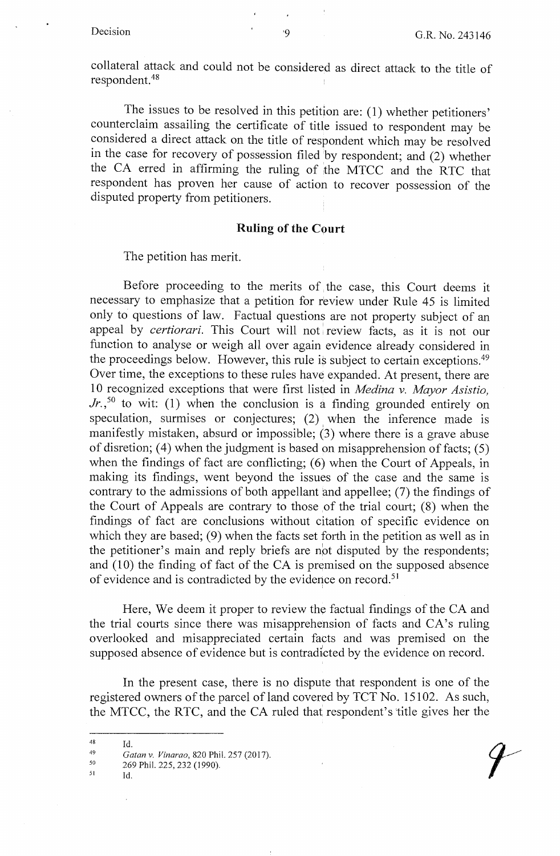collateral attack and could not be considered as direct attack to the title of respondent. <sup>48</sup>

The issues to be resolved in this petition are: (1) whether petitioners' counterclaim assailing the certificate of title issued to respondent may be considered a direct attack on the title of respondent which may be resolved in the case for recovery of possession filed by respondent; and (2) whether the CA erred in affirming the ruling of the MTCC and the RTC that respondent has proven her cause of action to recover possession of the disputed property from petitioners.

#### **Ruling of the Court**

The petition has merit.

Before proceeding to the merits of the case, this Court deems it necessary to emphasize that a petition for review under Rule 45 is limited only to questions of law. Factual questions are not property subject of an appeal by *certiorari*. This Court will not review facts, as it is not our function to analyse or weigh all over again evidence already considered in the proceedings below. However, this rule is subject to certain exceptions.<sup>49</sup> Over time, the exceptions to these rules have expanded. At present, there are 10 recognized exceptions that were first listed in *Medina v. Mayor Asistio*,  $Jr$ , <sup>50</sup> to wit: (1) when the conclusion is a finding grounded entirely on speculation, surmises or conjectures;  $(2)$  when the inference made is manifestly mistaken, absurd or impossible; (3) where there is a grave abuse of disretion; (4) when the judgment is based on misapprehension of facts;  $(5)$ when the findings of fact are conflicting;  $(6)$  when the Court of Appeals, in making its findings, went beyond the issues of the case and the same is contrary to the admissions of both appellant and appellee; (7) the findings of the Court of Appeals are contrary to those of the trial court; (8) when the findings of fact are conclusions without citation of specific evidence on which they are based; (9) when the facts set forth in the petition as well as in the petitioner's main and reply briefs are npt disputed by the respondents; and (10) the finding of fact of the CA is premised on the supposed absence of evidence and is contradicted by the evidence on record.<sup>51</sup>

Here, We deem it proper to review the factual findings of the CA and the trial courts since there was misapprehension of facts and CA's ruling overlooked and misappreciated certain facts and was premised on the supposed absence of evidence but is contradicted by the evidence on record.

In the present case, there is no dispute that respondent is one of the registered owners of the parcel of land covered by TCT No. 15102. As such, the MTCC, the RTC, and the CA ruled that respondent's 'title gives her the

Id.

- 269 Phil. 225, 232 (1990). Id.
- 51

<sup>48</sup> 

<sup>49</sup>  50 *Gatan v. Vinarao,* 820 Phil. 257 (2017).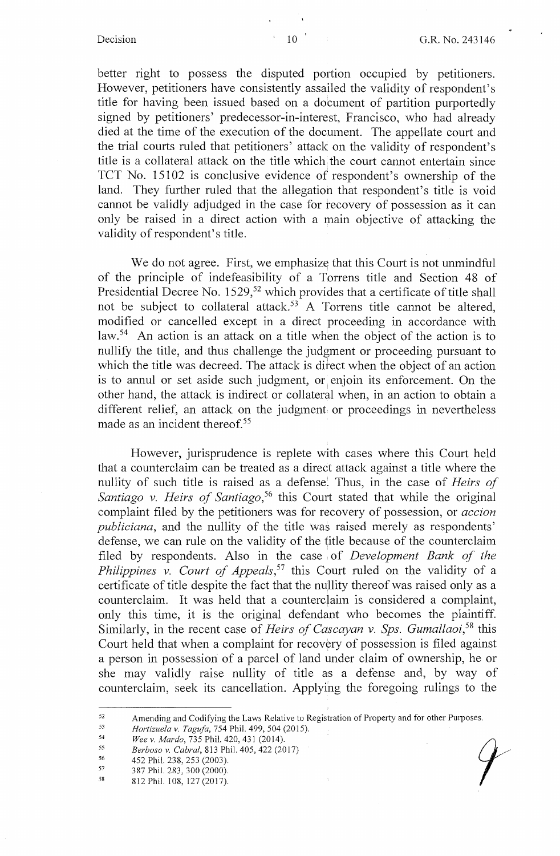better right to possess the disputed portion occupied by petitioners. However, petitioners have consistently assailed the validity of respondent's title for having been issued based on a document of partition purportedly signed by petitioners' predecessor-in-interest, Francisco, who had already died at the time of the execution of the document. The appellate court and the trial courts ruled that petitioners' attack on the validity of respondent's title is a collateral attack on the title which the court cannot entertain since TCT No. 15102 is conclusive evidence of respondent's ownership of the land. They further ruled that the allegation that respondent's title is void cannot be validly adjudged in the case for recovery of possession as it can only be raised in a direct action with a main objective of attacking the validity of respondent's title.

We do not agree. First, we emphasize that this Court is not unmindful of the principle of indefeasibility of a Torrens title and Section 48 of Presidential Decree No. 1529,<sup>52</sup> which provides that a certificate of title shall not be subject to collateral attack.<sup>53</sup> A Torrens title cannot be altered, modified or cancelled except in a direct proceeding in accordance with law.<sup>54</sup> An action is an attack on a title when the object of the action is to nullify the title, and thus challenge the judgment or proceeding pursuant to which the title was decreed. The attack is direct when the object of an action is to annul or set aside such judgment, or enjoin its enforcement. On the other hand, the attack is indirect or collateral when, in an action to obtain a different relief, an attack on the judgment or proceedings in nevertheless made as an incident thereof.<sup>55</sup>

However, jurisprudence is replete with cases where this Court held that a counterclaim can be treated as a direct attack against a title where the nullity of such title is raised as a defense'. Thus, in the case of *Heirs of*  Santiago v. Heirs of Santiago,<sup>56</sup> this Court stated that while the original complaint filed by the petitioners was for recovery of possession, or *accion publiciana,* and the nullity of the title was raised merely as respondents' defense, we can rule on the validity of the title because of the counterclaim filed by respondents. Also in the case of *Development Bank of the Philippines v. Court of Appeals,57* this Court ruled on the validity of a certificate of title despite the fact that the nullity thereof was raised only as a counterclaim. It was held that a counterclaim is considered a complaint, only this time, it is the original defendant who becomes the plaintiff. Similarly, in the recent case of *Heirs of Cascayan v. Sps. Gumallaoi,58* this Court held that when a complaint for recovery of possession is filed against a person in possession of a parcel of land under claim of ownership, he or she may validly raise nullity of title as a defense and, by way of counterclaim, seek its cancellation. Applying the foregoing rulings to the

- 56 452 Phil. 238, 253 (2003).
- 57 387 Phil. 283, 300 (2000).

<sup>52</sup>  Amending and Codifying the Laws Relative to Registration of Property and for other Purposes. *Amending and Codifying the Laws Relative to Registration of Property and for other Purposes.<br><i>Hortizuela v. Tagufa*, 754 Phil. 499, 504 (2015).<br>*Wee v. Mardo*, 735 Phil. 420, 431 (2014).<br>*Berboso v. Cabral*, 813 Phil. 405

<sup>53</sup>  *Hortizuela v. Tagufa,* 754 Phil. 499,504 (2015).

<sup>54</sup> 

<sup>55</sup>  *Berboso v. Cabral,* 813 Phil. 405,422 (2017)

<sup>58</sup>  812Phil.108, 127(2017).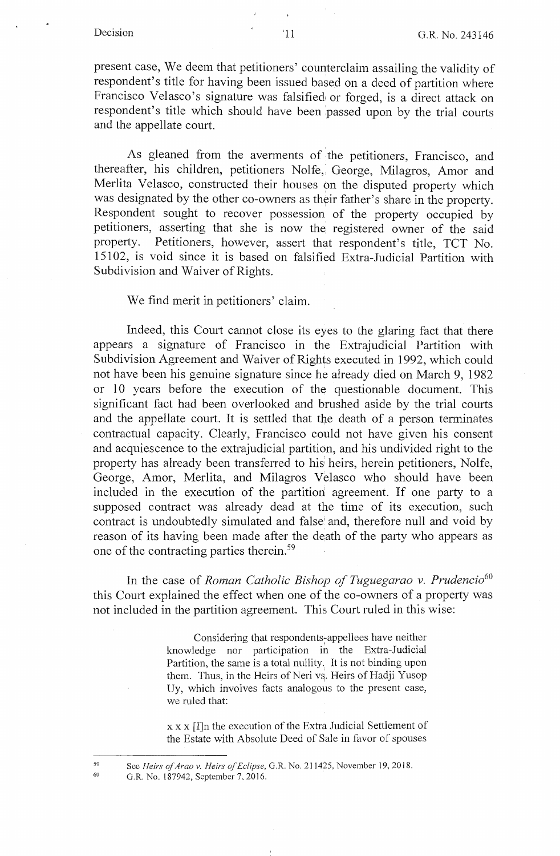present case, We deem that petitioners' counterclaim assailing the validity of respondent's title for having been issued based on a deed of partition where Francisco Velasco's signature was falsified or forged, is a direct attack on respondent's title which should have been passed upon by the trial courts and the appellate court.

As gleaned from the averments of the petitioners, Francisco, and thereafter, his children, petitioners Nolfe, George, Milagros, Amor and Merlita Velasco, constructed their houses on the disputed property which was designated by the other co-owners as their father's share in the property. Respondent sought to recover possession of the property occupied by petitioners, asserting that she is now the registered owner of the said property. Petitioners, however, assert that respondent's title, TCT No. 15102, is void since it is based on falsified Extra-Judicial Partition with Subdivision and Waiver of Rights.

We find merit in petitioners' claim.

Indeed, this Court cannot close its eyes to the glaring fact that there appears a signature of Francisco in the Extrajudicial Partition with Subdivision Agreement and Waiver of Rights executed in 1992, which could not have been his genuine signature since he already died on March 9, 1982 or 10 years before the execution of the questionable document. This significant fact had been overlooked and brushed aside by the trial courts and the appellate court. It is settled that the death of a person terminates contractual capacity. Clearly, Francisco could not have given his consent and acquiescence to the extrajudicial partition, and his undivided right to the property has already been transferred to his heirs, herein petitioners, Nolfe, George, Amor, Merlita, and Milagros Velasco who should have been included in the execution of the partition' agreement. If one party to a supposed contract was already dead at the time of its execution, such contract is undoubtedly simulated and false' and, therefore null and void by reason of its having been made after the death of the party who appears as one of the contracting parties therein. 59

In the case of *Roman Catholic Bishop of Tuguegarao v. Prudencio*<sup>60</sup> this Court explained the effect when one of the co-owners of a property was not included in the partition agreement. This Court ruled in this wise:

> Considering that respondents-appellees have neither knowledge nor participation in the Extra-Judicial Partition, the same is a total nullity. It is not binding upon them. Thus, in the Heirs of Neri vs. Heirs of Hadji Yusop Uy, which involves facts analogous to the present case, we ruled that:

> x x x [I]n the execution of the Extra Judicial Settlement of the Estate with Absolute Deed of Sale in favor of spouses

59 60

See *Heirs of Arao v. Heirs of Eclipse,* G.R. No. 211425, November 19, 2018.

G.R. No. 187942, September 7, 2016.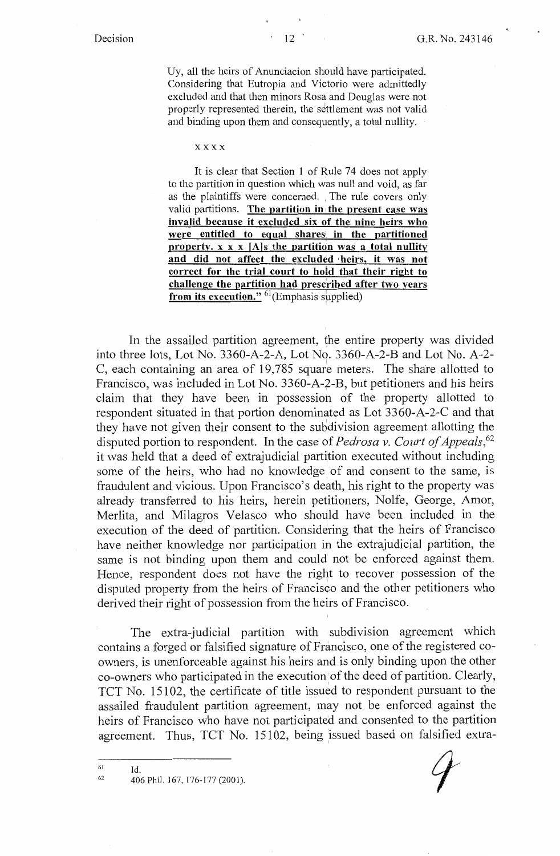Uy, all the heirs of Anunciacion should have participated. Considering that Eutropia and Victorio were admittedly excluded and that then minors Rosa and Douglas were not properly represented therein, the settlement was not valid and binding upon them and consequently, a total nullity.

**xxxx** 

It is clear that Section 1 of Rule 74 does not apply to the partition in question which was null and void, as far as the plaintiffs were concerned. , The rule covers only valid partitions. **The partition in, the present case was invalid because it excluded six of the nine heirs who were entitled to equal sharesi in the partitioned property. x x x [Als the partition was a total nullity**  and did not affect the excluded heirs, it was not **correct for the trial court to hold that their right to challenge the partition had prescribed after two years from its execution.**" <sup>61</sup>(Emphasis supplied)

In the assailed partition agreement, the entire property was divided into three lots, Lot No. 3360-A-2-A, Lot No. 3360-A-2-B and Lot No. A-2- C, each containing an area of 19,785 square meters. The share allotted to Francisco, was included in Lot No. 3360-A-2-B, but petitioners and his heirs claim that they have been in possession of the property allotted to respondent situated in that portion denominated as Lot 3360-A-2-C and that they have not given their consent to the subdivision agreement allotting the disputed portion to respondent. In the case of *Pedrosa v. Court of Appeals*,<sup>62</sup> it was held that a deed of extrajudicial partition executed without including some of the heirs, who had no knowledge of and consent to the same, is fraudulent and vicious. Upon Francisco's death, his right to the property was already transferred to his heirs, herein petitioners, Nolfe, George, Amor, Merlita, and Milagros Velasco who should have been included in the execution of the deed of partition. Considering that the heirs of Francisco have neither knowledge nor participation in the extrajudicial partition, the same is not binding upon them and could not be enforced against them. Hence, respondent does not have the right to recover possession of the disputed property from the heirs of Francisco and the other petitioners who derived their right of possession from the heirs of Francisco.

The extra-judicial partition with subdivision agreement which contains a forged or falsified signature of Francisco, one of the registered coowners, is unenforceable against his heirs and is only binding upon the other co-owners who participated in the execution of the deed of partition. Clearly, TCT No. 15102, the certificate of title issued to respondent pursuant to the assailed fraudulent partition agreement, may not be enforced against the heirs of Francisco who have not participated and consented to the partition agreement. Thus, TCT No. 15102, being issued based on falsified extra-

Id.

<sup>61</sup>  62

<sup>406</sup> Phil. 167, 176-177 (2001).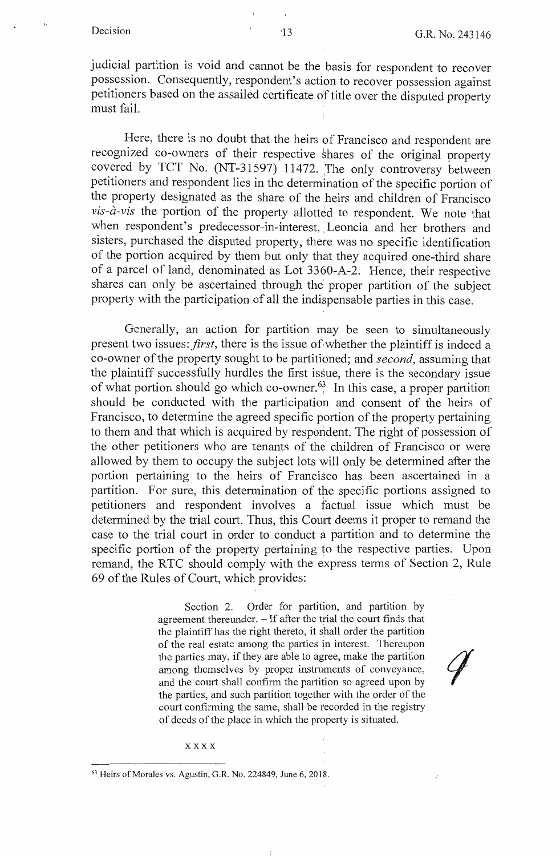judicial partition is void and cannot be the basis for respondent to recover possession. Consequently, respondent's action to recover possession against petitioners based on the assailed certificate of title over the disputed property must fail.

Here, there is no doubt that the heirs of Francisco and respondent are recognized co-owners of their respective shares of the original property covered by TCT No.  $(NT-31597)$  11472. The only controversy between petitioners and respondent lies in the determination of the specific portion of the property designated as the share of the heirs and children of Francisco *vis-à-vis* the portion of the property allotted to respondent. We note that when respondent's predecessor-in-interest, Leoncia and her brothers and sisters, purchased the disputed property, there was no specific identification of the portion acquired by them but only that they acquired one-third share of a parcel of land, denominated as Lot 3360-A-2. Hence, their respective shares can only be ascertained through the proper partition of the subject property with the participation of all the indispensable parties in this case.

Generally, an action for partition may be seen to simultaneously present two issues: *first*, there is the issue of whether the plaintiff is indeed a co-owner of the property sought to be partitioned; and *second,* assuming that the plaintiff successfully hurdles the first issue, there is the secondary issue of what portion should go which co-owner. $^{63}$  In this case, a proper partition should be conducted with the participation and consent of the heirs of Francisco, to determine the agreed specific portion of the property pertaining to them and that which is acquired by respondent. The right of possession of the other petitioners who are tenants of the children of Francisco or were allowed by them to occupy the subject lots will only be determined after the portion pertaining to the heirs of Francisco has been ascertained in a partition. For sure, this determination of the specific portions assigned to petitioners and respondent involves a factual issue which must be determined by the trial court. Thus, this Court deems it proper to remand the case to the trial court in order to conduct a partition and to determine the specific portion of the property pertaining to the respective parties. Upon remand, the RTC should comply with the express terms of Section 2, Rule 69 of the Rules of Court, which provides:

> Section 2. Order for partition, and partition by agreement thereunder.  $-$  If after the trial the court finds that the plaintiff has the right thereto, it shall order the partition of the real estate among the parties in interest. Thereupon the parties may, if they are able to agree, make the partition among themselves by proper instruments of conveyance, and the court shall confirm the partition so agreed upon by the parties, and such partition together with the order of the court confirming the same, shall be recorded in the registry of deeds of the place in which the property is situated.

**xxxx** 

<sup>63</sup> Heirs of Morales vs. Agustin, G.R. No. 224849, June 6, 2018.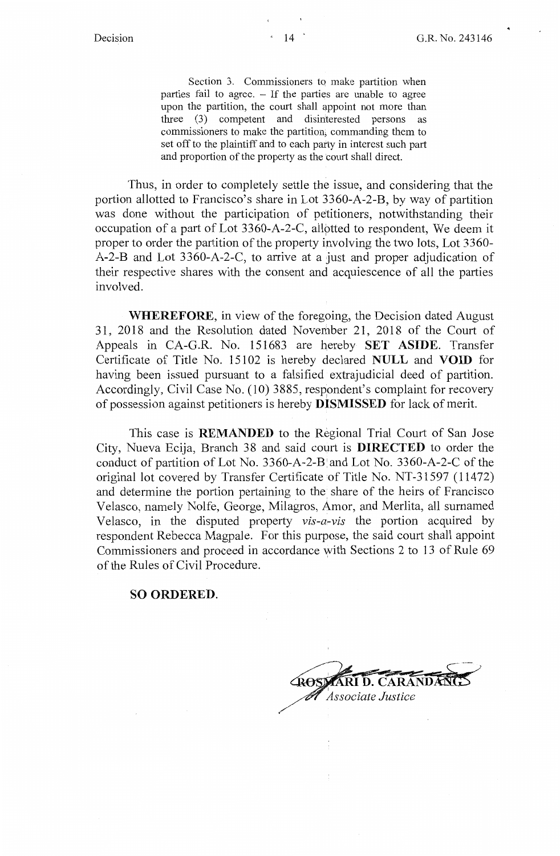Section 3. Commissioners to make partition when parties fail to agree. - If the parties are unable to agree upon the partition, the court shall appoint not more than three (3) competent and disinterested persons as commissioners to make the partition, commanding them to set off to the plaintiff and to each party in interest such part and proportion of the property as the court shall direct.

Thus, in order to completely settle the issue, and considering that the portion allotted to Francisco's share in Lot 3360-A-2-B, by way of partition was done without the participation of petitioners, notwithstanding their occupation of a part of Lot 3360-A-2-C, allotted to respondent. We deem it proper to order the partition of the property involving the two lots, Lot 3360- A-2-B and Lot 3360-A-2-C, to arrive at a just and proper adjudication of their respective shares with the consent and acquiescence of all the parties involved.

**WHEREFORE,** in view of the foregoing, the Decision dated August 31, 2018 and the Resolution dated November 21, 2018 of the Court of Appeals in CA-G.R. No. 151683 are hereby **SET ASIDE.** Transfer Certificate of Title No. 15102 is hereby declared **NULL** and **VOID** for having been issued pursuant to a falsified extrajudicial deed of partition. Accordingly, Civil Case No. (10) 3885, respondent's complaint for recovery of possession against petitioners is hereby **DISMISSED** for lack of merit.

This case is **REMANDED** to the Regional Trial Court of San Jose City, Nueva Ecija, Branch 38 and said court is **DIRECTED** to order the conduct of partition of Lot No.  $3360-A-2-B^{\dagger}$  and Lot No.  $3360-A-2-C$  of the original lot covered by Transfer Certificate of Title No. NT-31597 (11472) and determine the portion pertaining to the share of the heirs of Francisco Velasco, namely Nolfe, George, Milagros, Amor, and Merlita, all surnamed Velasco, in the disputed property *vis-a-vis* the portion acquired by respondent Rebecca Magpale. For this purpose, the said court shall appoint Commissioners and proceed in accordance with Sections 2 to 13 of Rule 69 of the Rules of Civil Procedure.

#### **SO ORDERED.**

I *Associate Justice*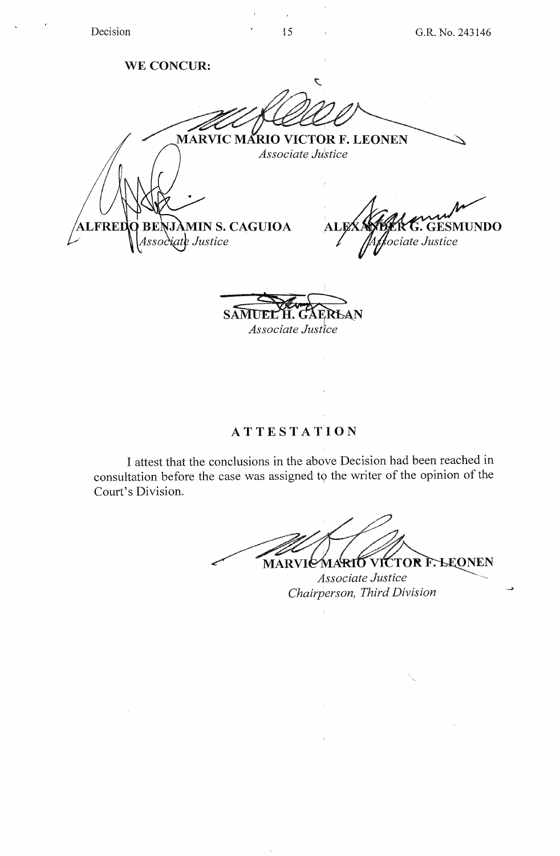**WE CONCUR:** 

 $\mathcal{L}$ **~ARVIC MARIO VICTOR F. LEONEN**  *Associate Justice*  CAGUIOA ALEXANDER **GESMUNDO ALFRED** 

*Associate Justice* 

# **ATTEST AT ION**

I attest that the conclusions in the above Decision had been reached in consultation before the case was assigned to the writer of the opinion of the Court's Division.

MARVIC MARIO VICTOR F. LEONEN

*Chairperson, Third Division* \_.